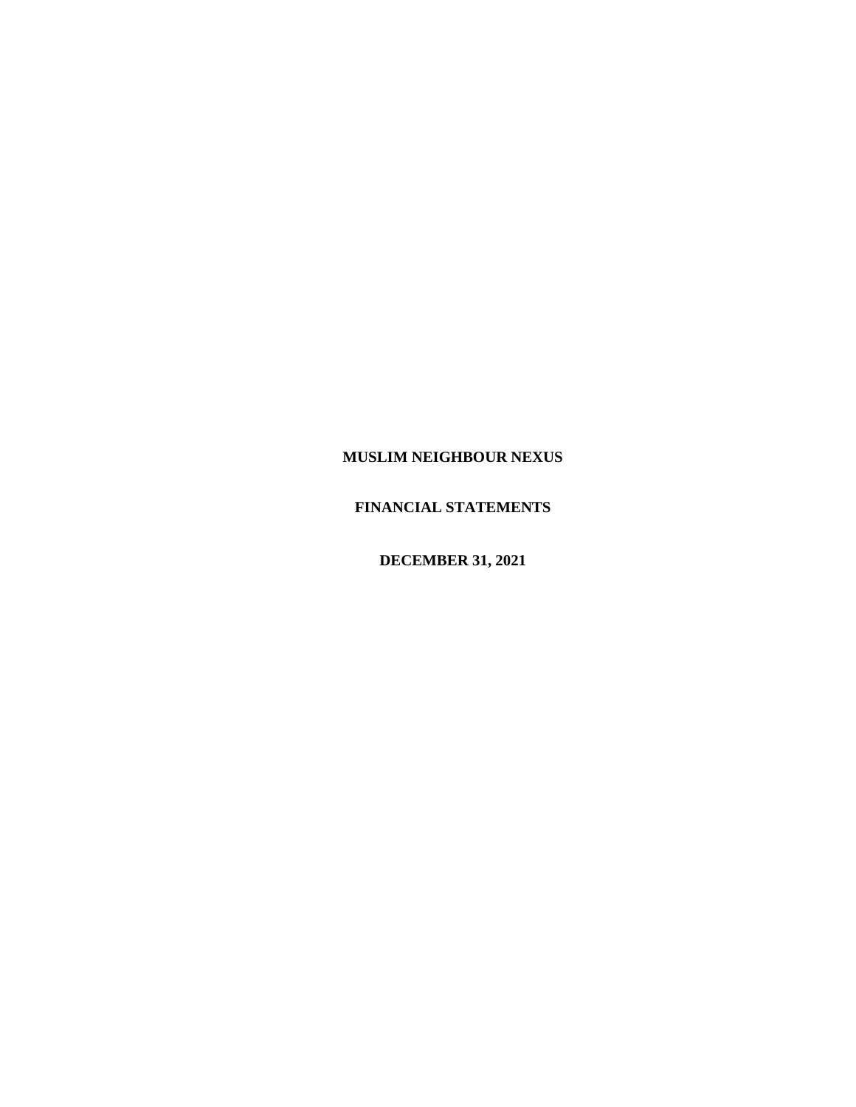# **MUSLIM NEIGHBOUR NEXUS**

**FINANCIAL STATEMENTS**

**DECEMBER 31, 2021**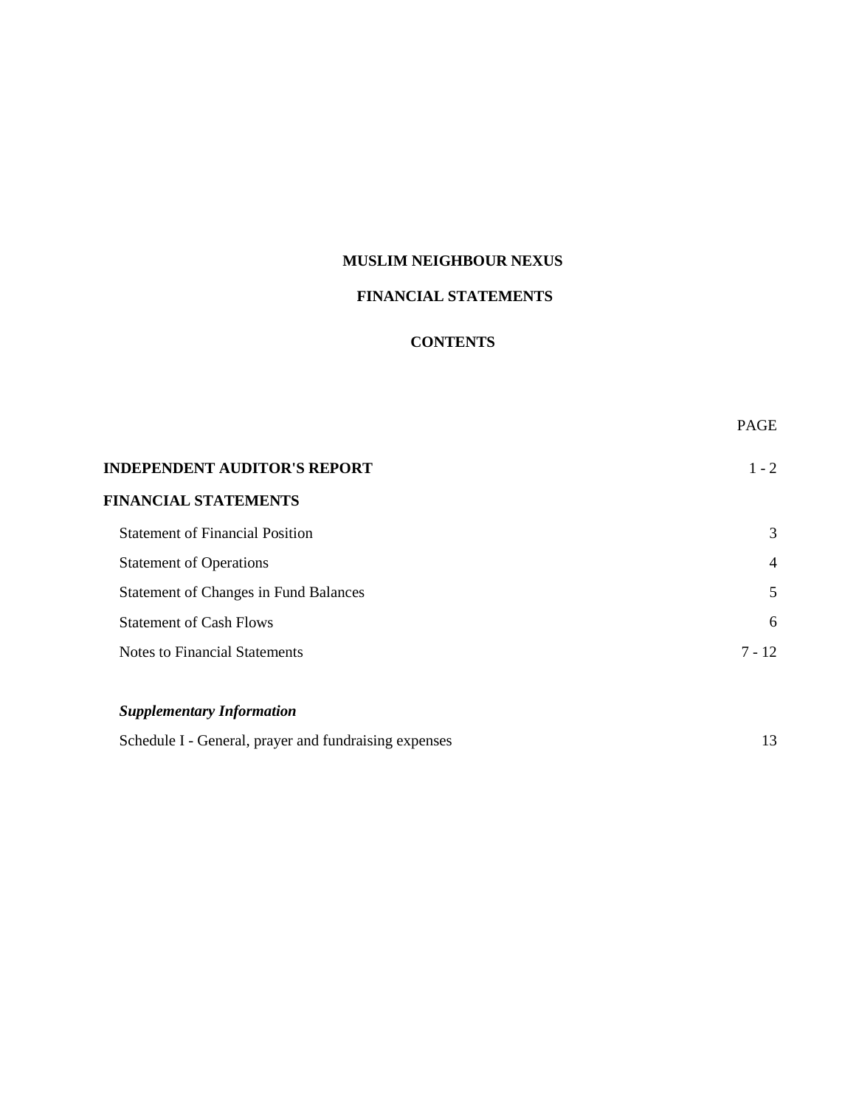# **MUSLIM NEIGHBOUR NEXUS**

# **FINANCIAL STATEMENTS**

# **CONTENTS**

PAGE

| <b>INDEPENDENT AUDITOR'S REPORT</b>                   | $1 - 2$        |
|-------------------------------------------------------|----------------|
| <b>FINANCIAL STATEMENTS</b>                           |                |
| <b>Statement of Financial Position</b>                | 3              |
| <b>Statement of Operations</b>                        | $\overline{4}$ |
| <b>Statement of Changes in Fund Balances</b>          | 5              |
| <b>Statement of Cash Flows</b>                        | 6              |
| <b>Notes to Financial Statements</b>                  | $7 - 12$       |
| <b>Supplementary Information</b>                      |                |
| Schedule I - General, prayer and fundraising expenses | 13             |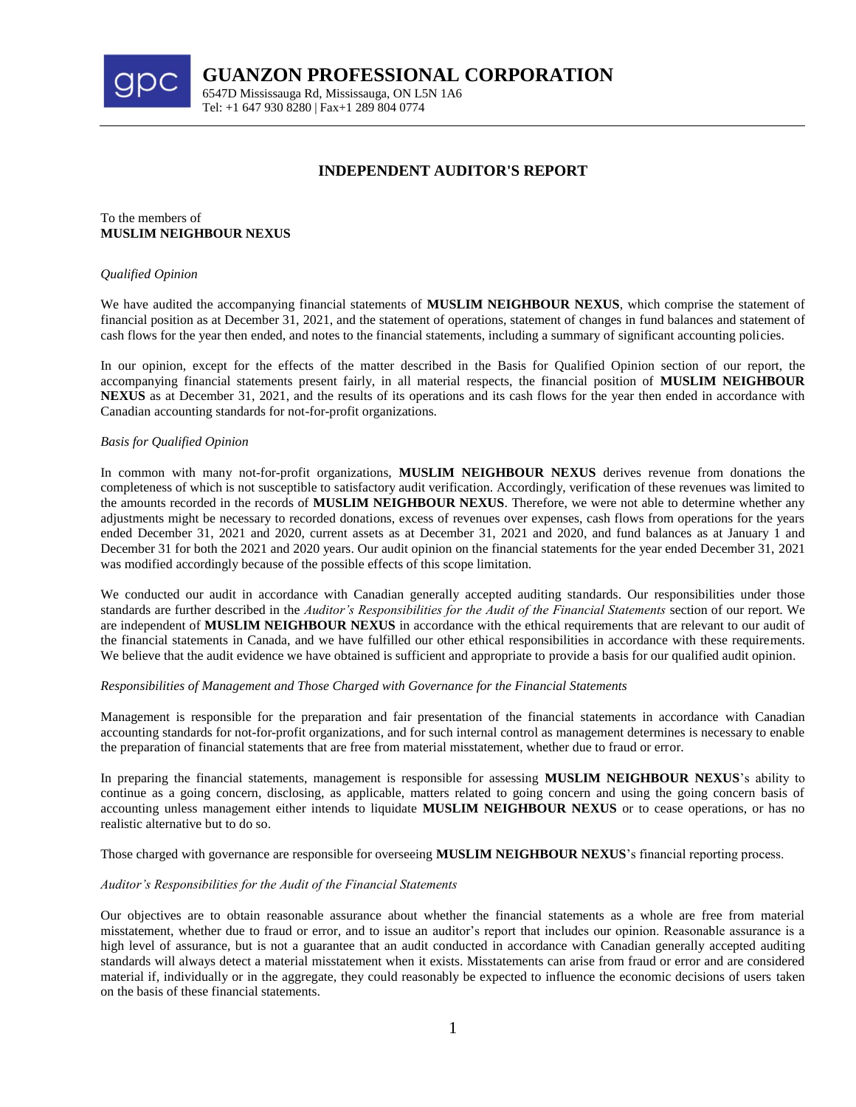

**GUANZON PROFESSIONAL CORPORATION** 6547D Mississauga Rd, Mississauga, ON L5N 1A6

Tel: +1 647 930 8280 | Fax+1 289 804 0774

#### **INDEPENDENT AUDITOR'S REPORT**

#### To the members of **MUSLIM NEIGHBOUR NEXUS**

#### *Qualified Opinion*

We have audited the accompanying financial statements of **MUSLIM NEIGHBOUR NEXUS**, which comprise the statement of financial position as at December 31, 2021, and the statement of operations, statement of changes in fund balances and statement of cash flows for the year then ended, and notes to the financial statements, including a summary of significant accounting policies.

In our opinion, except for the effects of the matter described in the Basis for Qualified Opinion section of our report, the accompanying financial statements present fairly, in all material respects, the financial position of **MUSLIM NEIGHBOUR NEXUS** as at December 31, 2021, and the results of its operations and its cash flows for the year then ended in accordance with Canadian accounting standards for not-for-profit organizations.

#### *Basis for Qualified Opinion*

In common with many not-for-profit organizations, **MUSLIM NEIGHBOUR NEXUS** derives revenue from donations the completeness of which is not susceptible to satisfactory audit verification. Accordingly, verification of these revenues was limited to the amounts recorded in the records of **MUSLIM NEIGHBOUR NEXUS**. Therefore, we were not able to determine whether any adjustments might be necessary to recorded donations, excess of revenues over expenses, cash flows from operations for the years ended December 31, 2021 and 2020, current assets as at December 31, 2021 and 2020, and fund balances as at January 1 and December 31 for both the 2021 and 2020 years. Our audit opinion on the financial statements for the year ended December 31, 2021 was modified accordingly because of the possible effects of this scope limitation.

We conducted our audit in accordance with Canadian generally accepted auditing standards. Our responsibilities under those standards are further described in the *Auditor's Responsibilities for the Audit of the Financial Statements* section of our report. We are independent of **MUSLIM NEIGHBOUR NEXUS** in accordance with the ethical requirements that are relevant to our audit of the financial statements in Canada, and we have fulfilled our other ethical responsibilities in accordance with these requirements. We believe that the audit evidence we have obtained is sufficient and appropriate to provide a basis for our qualified audit opinion.

#### *Responsibilities of Management and Those Charged with Governance for the Financial Statements*

Management is responsible for the preparation and fair presentation of the financial statements in accordance with Canadian accounting standards for not-for-profit organizations, and for such internal control as management determines is necessary to enable the preparation of financial statements that are free from material misstatement, whether due to fraud or error.

In preparing the financial statements, management is responsible for assessing **MUSLIM NEIGHBOUR NEXUS**'s ability to continue as a going concern, disclosing, as applicable, matters related to going concern and using the going concern basis of accounting unless management either intends to liquidate **MUSLIM NEIGHBOUR NEXUS** or to cease operations, or has no realistic alternative but to do so.

Those charged with governance are responsible for overseeing **MUSLIM NEIGHBOUR NEXUS**'s financial reporting process.

#### *Auditor's Responsibilities for the Audit of the Financial Statements*

Our objectives are to obtain reasonable assurance about whether the financial statements as a whole are free from material misstatement, whether due to fraud or error, and to issue an auditor's report that includes our opinion. Reasonable assurance is a high level of assurance, but is not a guarantee that an audit conducted in accordance with Canadian generally accepted auditing standards will always detect a material misstatement when it exists. Misstatements can arise from fraud or error and are considered material if, individually or in the aggregate, they could reasonably be expected to influence the economic decisions of users taken on the basis of these financial statements.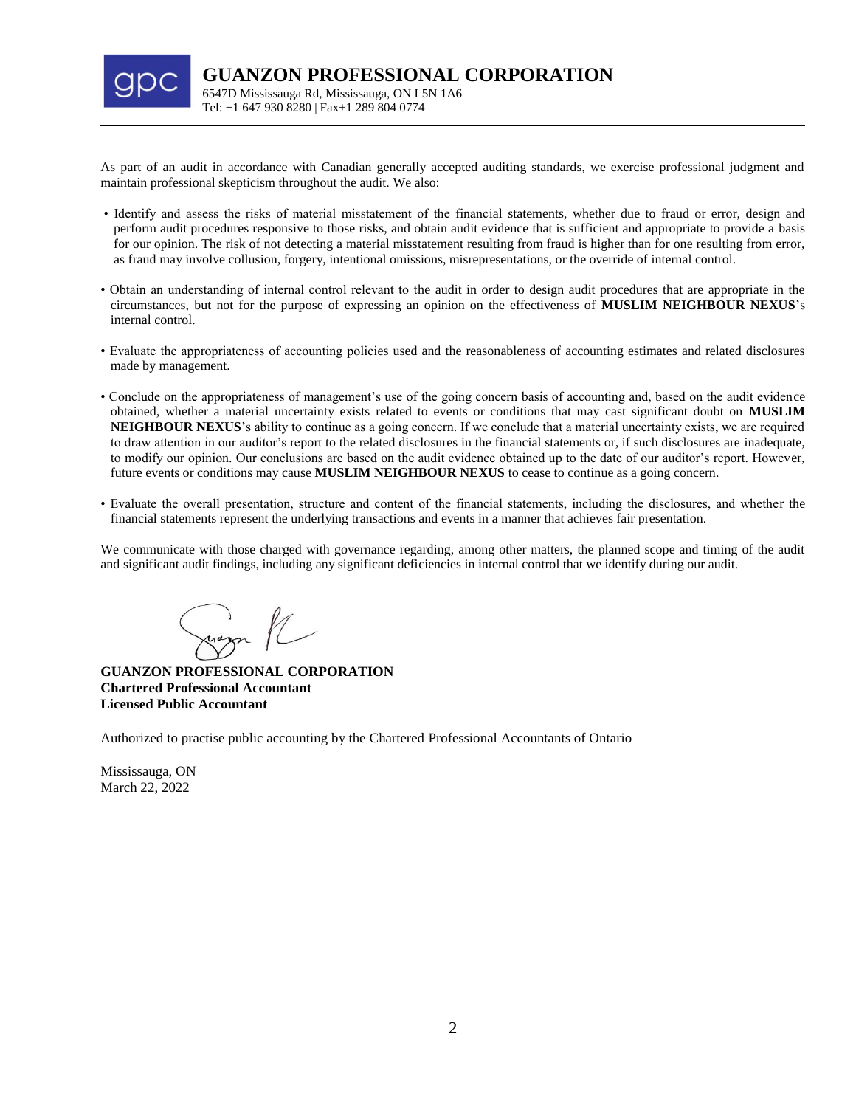

As part of an audit in accordance with Canadian generally accepted auditing standards, we exercise professional judgment and maintain professional skepticism throughout the audit. We also:

- Identify and assess the risks of material misstatement of the financial statements, whether due to fraud or error, design and perform audit procedures responsive to those risks, and obtain audit evidence that is sufficient and appropriate to provide a basis for our opinion. The risk of not detecting a material misstatement resulting from fraud is higher than for one resulting from error, as fraud may involve collusion, forgery, intentional omissions, misrepresentations, or the override of internal control.
- Obtain an understanding of internal control relevant to the audit in order to design audit procedures that are appropriate in the circumstances, but not for the purpose of expressing an opinion on the effectiveness of **MUSLIM NEIGHBOUR NEXUS**'s internal control.
- Evaluate the appropriateness of accounting policies used and the reasonableness of accounting estimates and related disclosures made by management.
- Conclude on the appropriateness of management's use of the going concern basis of accounting and, based on the audit evidence obtained, whether a material uncertainty exists related to events or conditions that may cast significant doubt on **MUSLIM NEIGHBOUR NEXUS**'s ability to continue as a going concern. If we conclude that a material uncertainty exists, we are required to draw attention in our auditor's report to the related disclosures in the financial statements or, if such disclosures are inadequate, to modify our opinion. Our conclusions are based on the audit evidence obtained up to the date of our auditor's report. However, future events or conditions may cause **MUSLIM NEIGHBOUR NEXUS** to cease to continue as a going concern.
- Evaluate the overall presentation, structure and content of the financial statements, including the disclosures, and whether the financial statements represent the underlying transactions and events in a manner that achieves fair presentation.

We communicate with those charged with governance regarding, among other matters, the planned scope and timing of the audit and significant audit findings, including any significant deficiencies in internal control that we identify during our audit.

**GUANZON PROFESSIONAL CORPORATION Chartered Professional Accountant Licensed Public Accountant**

Authorized to practise public accounting by the Chartered Professional Accountants of Ontario

Mississauga, ON March 22, 2022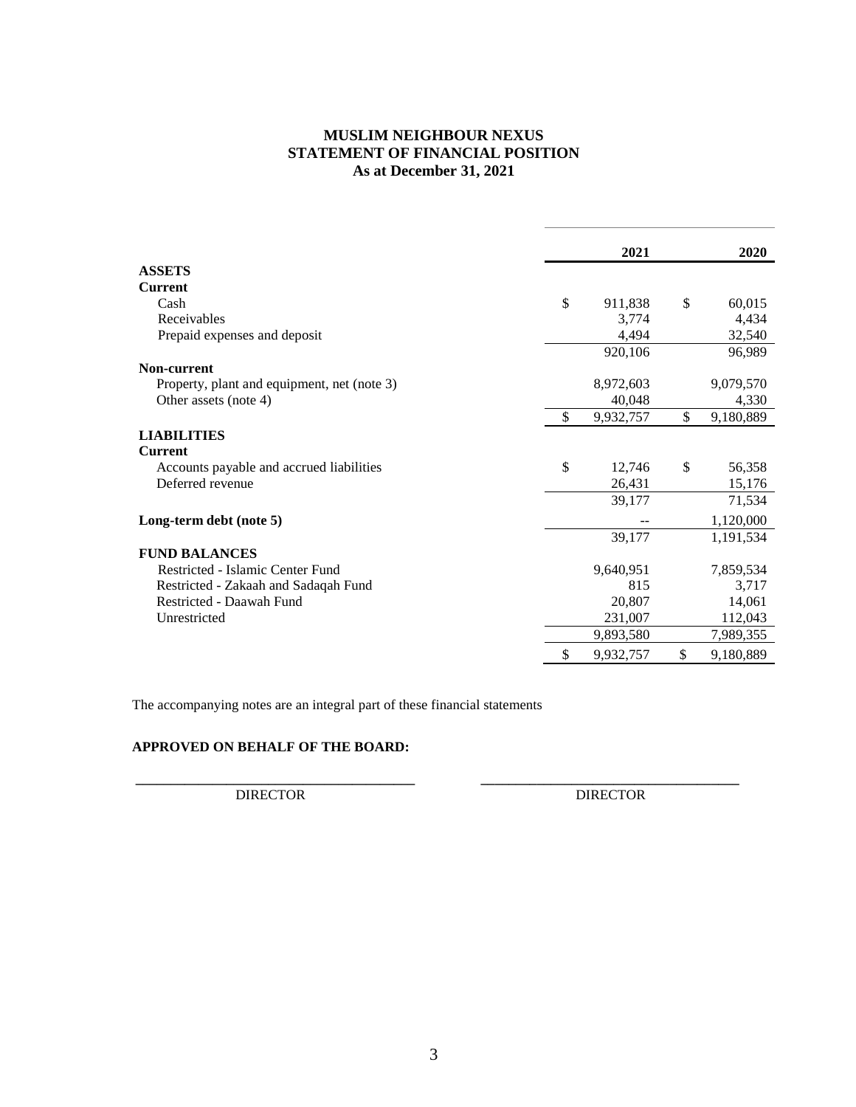# **MUSLIM NEIGHBOUR NEXUS STATEMENT OF FINANCIAL POSITION As at December 31, 2021**

|                                             |               | 2021             | 2020            |
|---------------------------------------------|---------------|------------------|-----------------|
| <b>ASSETS</b>                               |               |                  |                 |
| <b>Current</b>                              |               |                  |                 |
| Cash                                        | \$            | 911,838          | \$<br>60,015    |
| Receivables                                 |               | 3,774            | 4,434           |
| Prepaid expenses and deposit                |               | 4,494            | 32,540          |
|                                             |               | 920,106          | 96,989          |
| Non-current                                 |               |                  |                 |
| Property, plant and equipment, net (note 3) |               | 8,972,603        | 9,079,570       |
| Other assets (note 4)                       |               | 40,048           | 4,330           |
|                                             | \$            | 9,932,757        | \$<br>9,180,889 |
| <b>LIABILITIES</b>                          |               |                  |                 |
| <b>Current</b>                              |               |                  |                 |
| Accounts payable and accrued liabilities    | $\mathcal{S}$ | 12.746           | \$<br>56,358    |
| Deferred revenue                            |               | 26,431           | 15,176          |
|                                             |               | 39,177           | 71,534          |
| Long-term debt (note 5)                     |               |                  | 1,120,000       |
|                                             |               | 39,177           | 1,191,534       |
| <b>FUND BALANCES</b>                        |               |                  |                 |
|                                             |               |                  |                 |
| Restricted - Islamic Center Fund            |               | 9,640,951<br>815 | 7,859,534       |
| Restricted - Zakaah and Sadaqah Fund        |               |                  | 3,717           |
| Restricted - Daawah Fund                    |               | 20,807           | 14,061          |
| Unrestricted                                |               | 231,007          | 112,043         |
|                                             |               | 9,893,580        | 7,989,355       |
|                                             | \$            | 9,932,757        | \$<br>9,180,889 |

The accompanying notes are an integral part of these financial statements

#### **APPROVED ON BEHALF OF THE BOARD:**

DIRECTOR DIRECTOR

**\_\_\_\_\_\_\_\_\_\_\_\_\_\_\_\_\_\_\_\_\_\_\_\_\_\_\_\_\_\_\_\_\_\_\_\_\_\_\_\_ \_\_\_\_\_\_\_\_\_\_\_\_\_\_\_\_\_\_\_\_\_\_\_\_\_\_\_\_\_\_\_\_\_\_\_\_\_**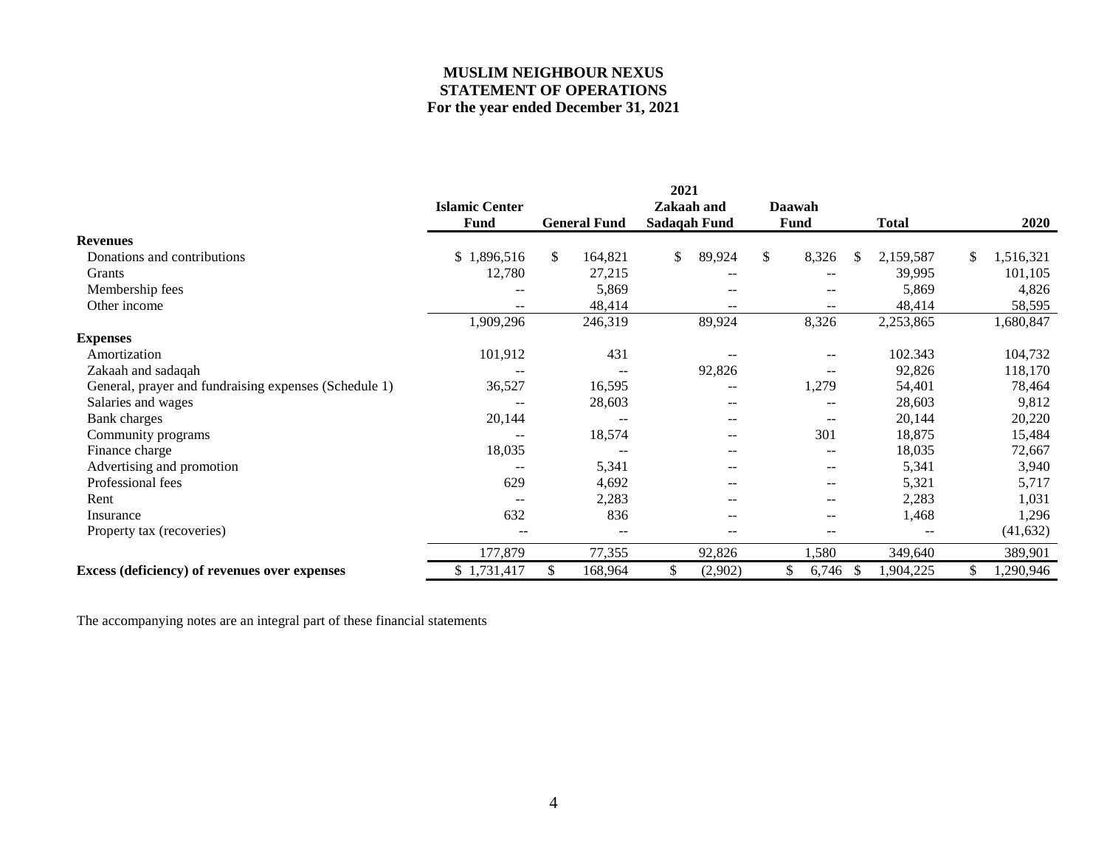# **MUSLIM NEIGHBOUR NEXUS STATEMENT OF OPERATIONS For the year ended December 31, 2021**

|                                                       | <b>Islamic Center</b><br><b>General Fund</b><br><b>Fund</b> |    |         | 2021<br>Zakaah and<br>Sadaqah Fund | <b>Daawah</b><br><b>Fund</b> |                       | <b>Total</b> |           | <b>2020</b>  |           |
|-------------------------------------------------------|-------------------------------------------------------------|----|---------|------------------------------------|------------------------------|-----------------------|--------------|-----------|--------------|-----------|
| <b>Revenues</b>                                       |                                                             |    |         |                                    |                              |                       |              |           |              |           |
| Donations and contributions                           | \$1,896,516                                                 | \$ | 164,821 | \$<br>89,924                       |                              | $\mathbb{S}$<br>8,326 | \$           | 2,159,587 | $\mathbb{S}$ | 1,516,321 |
| Grants                                                | 12,780                                                      |    | 27,215  |                                    | $-$                          | $-$                   |              | 39,995    |              | 101,105   |
| Membership fees                                       |                                                             |    | 5,869   |                                    | $- -$                        | $-$                   |              | 5,869     |              | 4,826     |
| Other income                                          | $- -$                                                       |    | 48,414  |                                    | $\overline{\phantom{m}}$     | $-$                   |              | 48,414    |              | 58,595    |
|                                                       | 1,909,296                                                   |    | 246,319 | 89,924                             |                              | 8,326                 |              | 2,253,865 |              | 1,680,847 |
| <b>Expenses</b>                                       |                                                             |    |         |                                    |                              |                       |              |           |              |           |
| Amortization                                          | 101,912                                                     |    | 431     |                                    |                              | $-$                   |              | 102.343   |              | 104,732   |
| Zakaah and sadaqah                                    |                                                             |    |         | 92,826                             |                              | $-$                   |              | 92,826    |              | 118,170   |
| General, prayer and fundraising expenses (Schedule 1) | 36,527                                                      |    | 16,595  |                                    | $-$                          | 1,279                 |              | 54,401    |              | 78,464    |
| Salaries and wages                                    |                                                             |    | 28,603  |                                    | --                           | $-$                   |              | 28,603    |              | 9,812     |
| <b>Bank</b> charges                                   | 20,144                                                      |    |         |                                    | $-$                          | $-$                   |              | 20,144    |              | 20,220    |
| Community programs                                    |                                                             |    | 18,574  |                                    | $\qquad \qquad -$            | 301                   |              | 18,875    |              | 15,484    |
| Finance charge                                        | 18,035                                                      |    |         |                                    | --                           | $-$                   |              | 18,035    |              | 72,667    |
| Advertising and promotion                             |                                                             |    | 5,341   |                                    | $-$                          | $-$                   |              | 5,341     |              | 3,940     |
| Professional fees                                     | 629                                                         |    | 4,692   |                                    | $\qquad \qquad -$            | $\sim$ $\sim$         |              | 5,321     |              | 5,717     |
| Rent                                                  |                                                             |    | 2,283   |                                    | --                           | $-$                   |              | 2,283     |              | 1,031     |
| Insurance                                             | 632                                                         |    | 836     |                                    |                              | $-$                   |              | 1,468     |              | 1,296     |
| Property tax (recoveries)                             | --                                                          |    |         |                                    |                              | --                    |              | $-$       |              | (41, 632) |
|                                                       | 177,879                                                     |    | 77,355  | 92,826                             |                              | 1,580                 |              | 349,640   |              | 389,901   |
| Excess (deficiency) of revenues over expenses         | \$1,731,417                                                 | \$ | 168,964 | (2,902)<br>S.                      |                              | \$<br>6,746           | -S           | 1,904,225 | \$           | 1,290,946 |

The accompanying notes are an integral part of these financial statements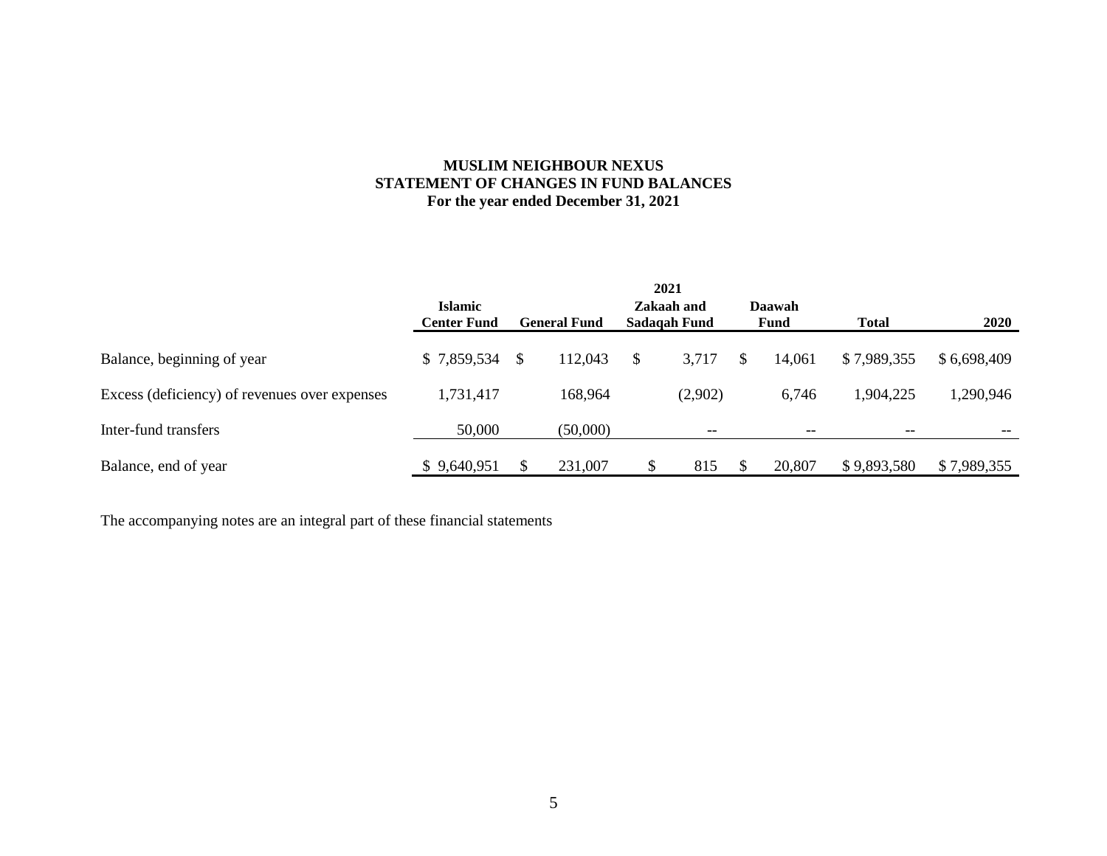# **MUSLIM NEIGHBOUR NEXUS STATEMENT OF CHANGES IN FUND BALANCES For the year ended December 31, 2021**

|                                               | <b>Islamic</b><br><b>Center Fund</b> | <b>General Fund</b> | 2021<br>Zakaah and<br><b>Sadaqah Fund</b> | <b>Daawah</b><br>Fund | <b>Total</b> | <b>2020</b> |
|-----------------------------------------------|--------------------------------------|---------------------|-------------------------------------------|-----------------------|--------------|-------------|
| Balance, beginning of year                    | \$7,859,534                          | \$<br>112,043       | \$<br>3,717                               | 14,061                | \$7,989,355  | \$6,698,409 |
| Excess (deficiency) of revenues over expenses | 1,731,417                            | 168,964             | (2,902)                                   | 6,746                 | 1,904,225    | 1,290,946   |
| Inter-fund transfers                          | 50,000                               | (50,000)            | $- -$                                     | $- -$                 | $- -$        |             |
| Balance, end of year                          | \$9,640,951                          | 231,007             | 815                                       | 20,807                | \$9,893,580  | \$7,989,355 |

The accompanying notes are an integral part of these financial statements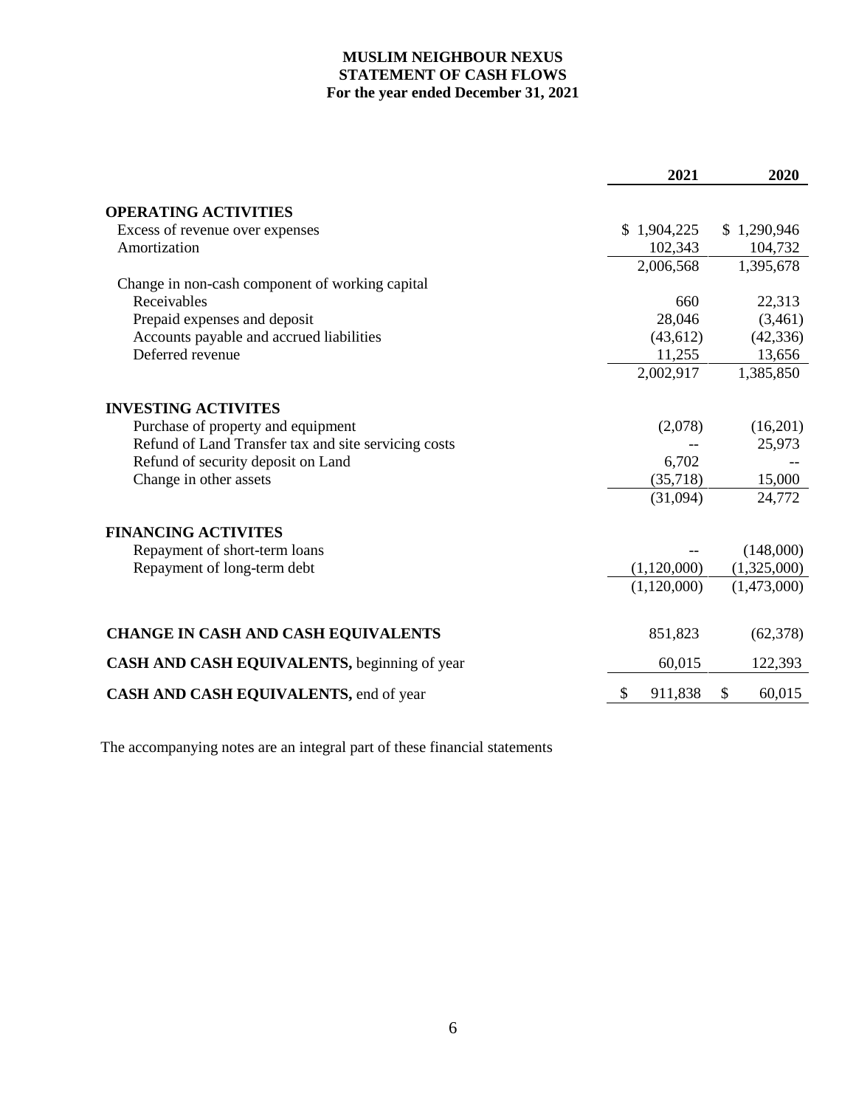# **MUSLIM NEIGHBOUR NEXUS STATEMENT OF CASH FLOWS For the year ended December 31, 2021**

|                                                      | 2021          | 2020         |
|------------------------------------------------------|---------------|--------------|
|                                                      |               |              |
| <b>OPERATING ACTIVITIES</b>                          |               |              |
| Excess of revenue over expenses                      | \$1,904,225   | \$1,290,946  |
| Amortization                                         | 102,343       | 104,732      |
|                                                      | 2,006,568     | 1,395,678    |
| Change in non-cash component of working capital      |               |              |
| Receivables                                          | 660           | 22,313       |
| Prepaid expenses and deposit                         | 28,046        | (3,461)      |
| Accounts payable and accrued liabilities             | (43,612)      | (42, 336)    |
| Deferred revenue                                     | 11,255        | 13,656       |
|                                                      | 2,002,917     | 1,385,850    |
| <b>INVESTING ACTIVITES</b>                           |               |              |
| Purchase of property and equipment                   | (2,078)       | (16,201)     |
| Refund of Land Transfer tax and site servicing costs |               | 25,973       |
| Refund of security deposit on Land                   | 6,702         |              |
| Change in other assets                               | (35,718)      | 15,000       |
|                                                      | (31,094)      | 24,772       |
| <b>FINANCING ACTIVITES</b>                           |               |              |
| Repayment of short-term loans                        |               | (148,000)    |
| Repayment of long-term debt                          | (1,120,000)   | (1,325,000)  |
|                                                      | (1,120,000)   | (1,473,000)  |
|                                                      |               |              |
| <b>CHANGE IN CASH AND CASH EQUIVALENTS</b>           | 851,823       | (62, 378)    |
| CASH AND CASH EQUIVALENTS, beginning of year         | 60,015        | 122,393      |
| CASH AND CASH EQUIVALENTS, end of year               | \$<br>911,838 | \$<br>60,015 |

The accompanying notes are an integral part of these financial statements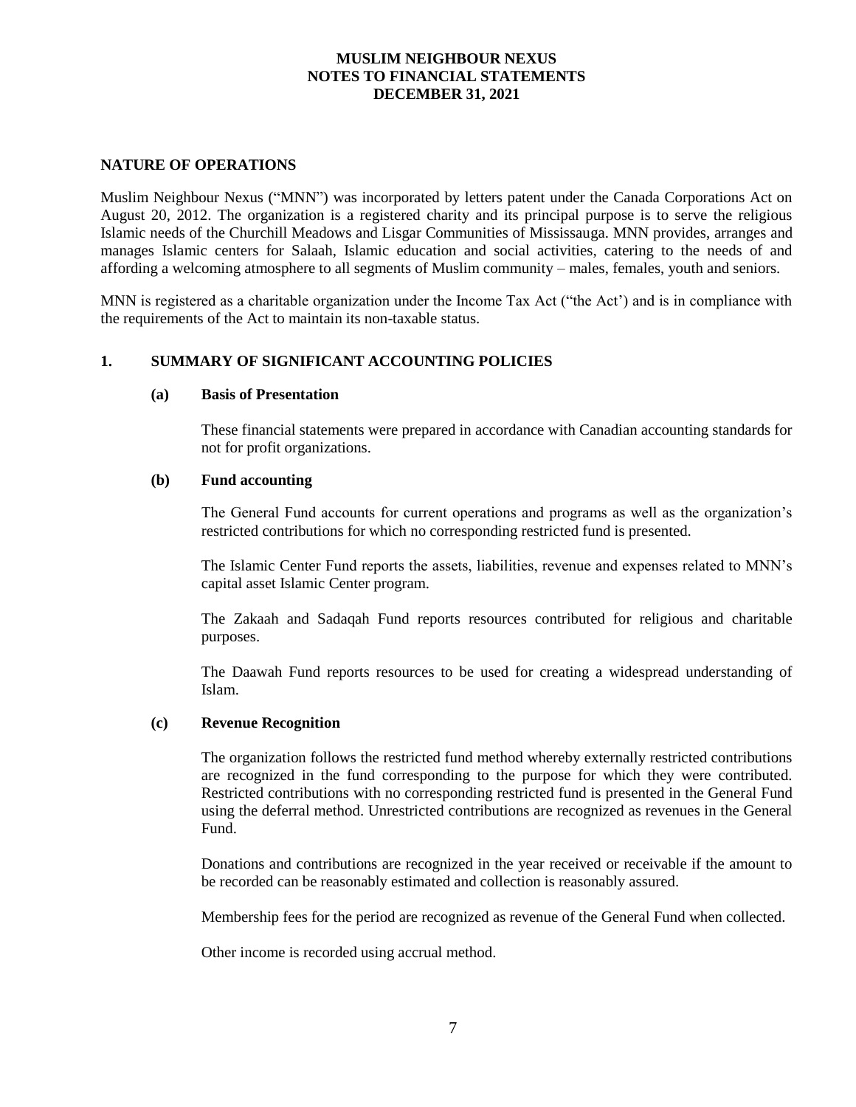### **NATURE OF OPERATIONS**

Muslim Neighbour Nexus ("MNN") was incorporated by letters patent under the Canada Corporations Act on August 20, 2012. The organization is a registered charity and its principal purpose is to serve the religious Islamic needs of the Churchill Meadows and Lisgar Communities of Mississauga. MNN provides, arranges and manages Islamic centers for Salaah, Islamic education and social activities, catering to the needs of and affording a welcoming atmosphere to all segments of Muslim community – males, females, youth and seniors.

MNN is registered as a charitable organization under the Income Tax Act ("the Act') and is in compliance with the requirements of the Act to maintain its non-taxable status.

# **1. SUMMARY OF SIGNIFICANT ACCOUNTING POLICIES**

#### **(a) Basis of Presentation**

These financial statements were prepared in accordance with Canadian accounting standards for not for profit organizations.

#### **(b) Fund accounting**

The General Fund accounts for current operations and programs as well as the organization's restricted contributions for which no corresponding restricted fund is presented.

The Islamic Center Fund reports the assets, liabilities, revenue and expenses related to MNN's capital asset Islamic Center program.

The Zakaah and Sadaqah Fund reports resources contributed for religious and charitable purposes.

The Daawah Fund reports resources to be used for creating a widespread understanding of Islam.

#### **(c) Revenue Recognition**

The organization follows the restricted fund method whereby externally restricted contributions are recognized in the fund corresponding to the purpose for which they were contributed. Restricted contributions with no corresponding restricted fund is presented in the General Fund using the deferral method. Unrestricted contributions are recognized as revenues in the General Fund.

Donations and contributions are recognized in the year received or receivable if the amount to be recorded can be reasonably estimated and collection is reasonably assured.

Membership fees for the period are recognized as revenue of the General Fund when collected.

Other income is recorded using accrual method.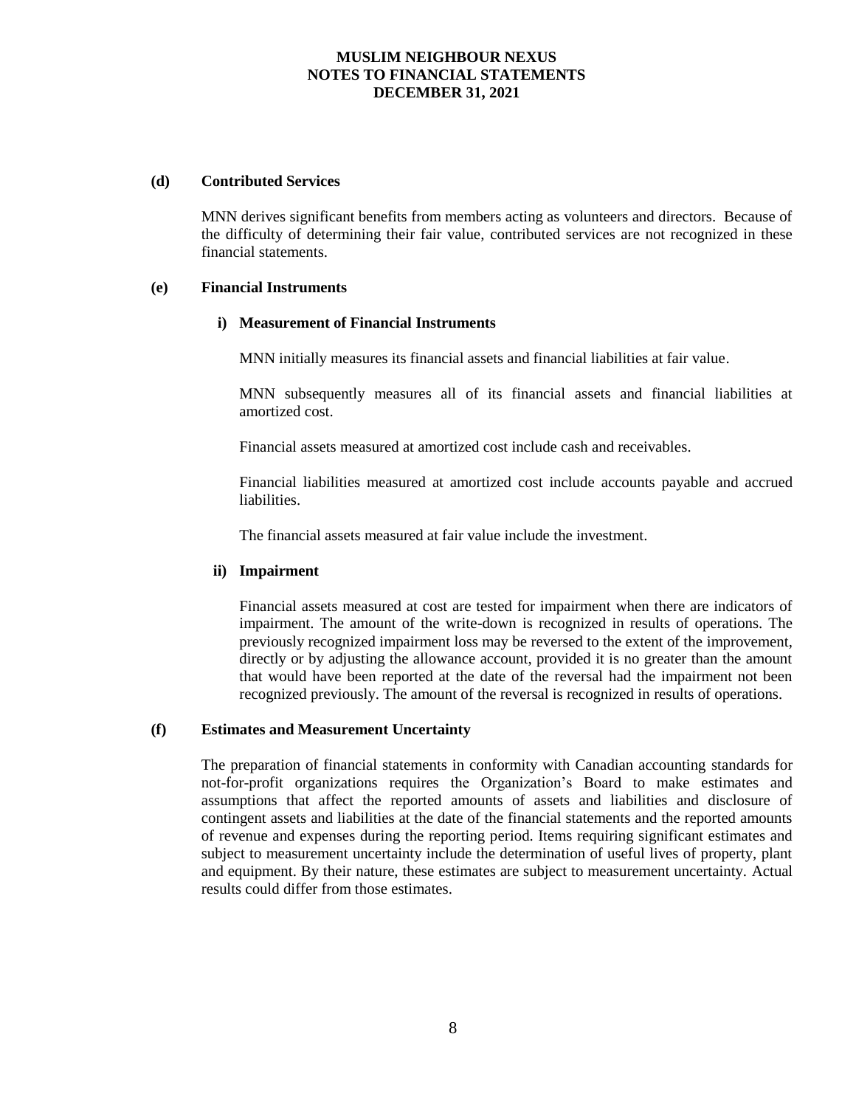#### **(d) Contributed Services**

MNN derives significant benefits from members acting as volunteers and directors. Because of the difficulty of determining their fair value, contributed services are not recognized in these financial statements.

#### **(e) Financial Instruments**

#### **i) Measurement of Financial Instruments**

MNN initially measures its financial assets and financial liabilities at fair value.

MNN subsequently measures all of its financial assets and financial liabilities at amortized cost.

Financial assets measured at amortized cost include cash and receivables.

Financial liabilities measured at amortized cost include accounts payable and accrued liabilities.

The financial assets measured at fair value include the investment.

#### **ii) Impairment**

Financial assets measured at cost are tested for impairment when there are indicators of impairment. The amount of the write-down is recognized in results of operations. The previously recognized impairment loss may be reversed to the extent of the improvement, directly or by adjusting the allowance account, provided it is no greater than the amount that would have been reported at the date of the reversal had the impairment not been recognized previously. The amount of the reversal is recognized in results of operations.

### **(f) Estimates and Measurement Uncertainty**

The preparation of financial statements in conformity with Canadian accounting standards for not-for-profit organizations requires the Organization's Board to make estimates and assumptions that affect the reported amounts of assets and liabilities and disclosure of contingent assets and liabilities at the date of the financial statements and the reported amounts of revenue and expenses during the reporting period. Items requiring significant estimates and subject to measurement uncertainty include the determination of useful lives of property, plant and equipment. By their nature, these estimates are subject to measurement uncertainty. Actual results could differ from those estimates.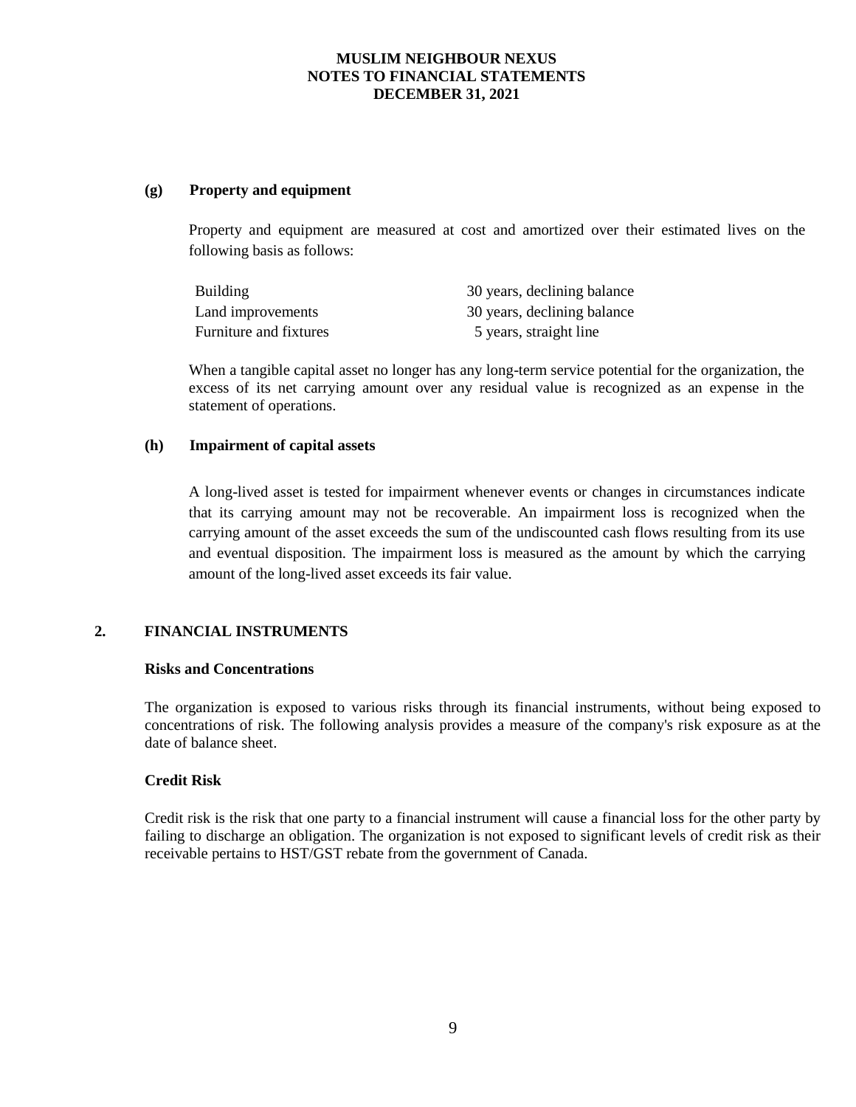#### **(g) Property and equipment**

Property and equipment are measured at cost and amortized over their estimated lives on the following basis as follows:

| <b>Building</b>        | 30 years, declining balance |
|------------------------|-----------------------------|
| Land improvements      | 30 years, declining balance |
| Furniture and fixtures | 5 years, straight line      |

 When a tangible capital asset no longer has any long-term service potential for the organization, the excess of its net carrying amount over any residual value is recognized as an expense in the statement of operations.

### **(h) Impairment of capital assets**

A long-lived asset is tested for impairment whenever events or changes in circumstances indicate that its carrying amount may not be recoverable. An impairment loss is recognized when the carrying amount of the asset exceeds the sum of the undiscounted cash flows resulting from its use and eventual disposition. The impairment loss is measured as the amount by which the carrying amount of the long-lived asset exceeds its fair value.

### **2. FINANCIAL INSTRUMENTS**

#### **Risks and Concentrations**

The organization is exposed to various risks through its financial instruments, without being exposed to concentrations of risk. The following analysis provides a measure of the company's risk exposure as at the date of balance sheet.

### **Credit Risk**

Credit risk is the risk that one party to a financial instrument will cause a financial loss for the other party by failing to discharge an obligation. The organization is not exposed to significant levels of credit risk as their receivable pertains to HST/GST rebate from the government of Canada.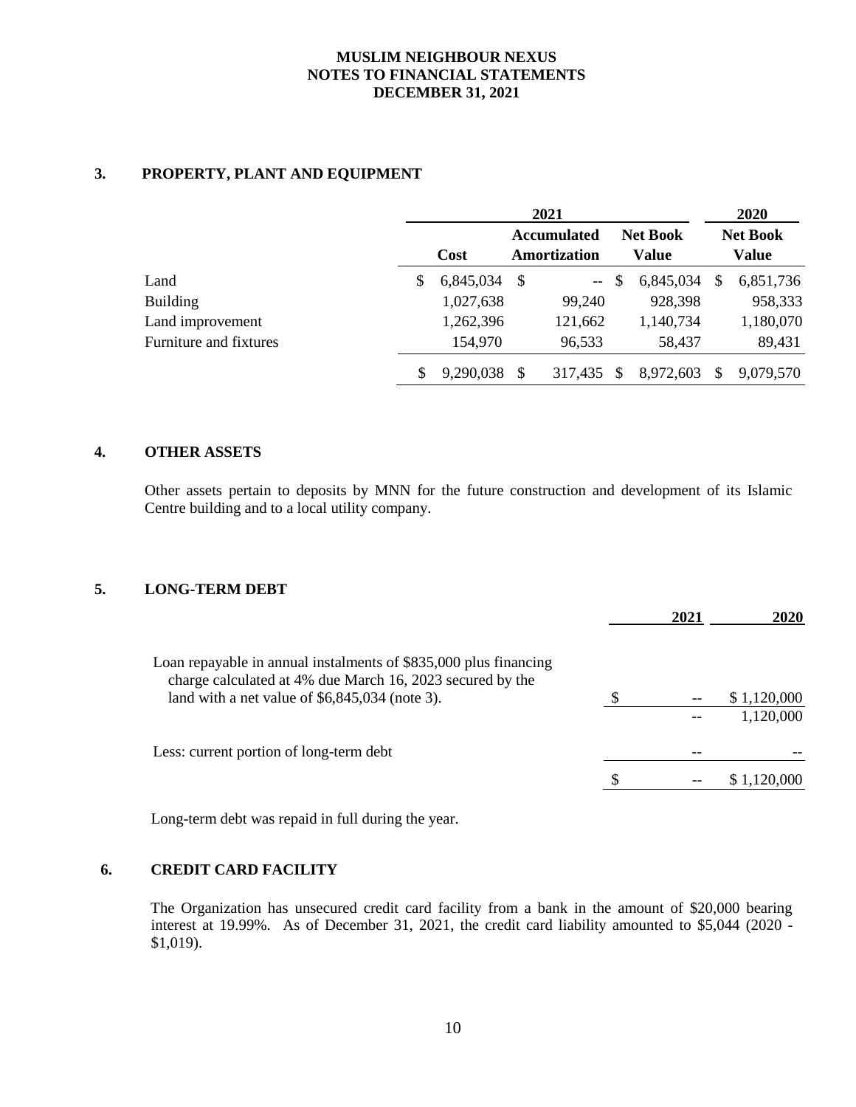### **3. PROPERTY, PLANT AND EQUIPMENT**

|                        |           |                                           | <b>2020</b> |   |                                 |     |                                 |
|------------------------|-----------|-------------------------------------------|-------------|---|---------------------------------|-----|---------------------------------|
|                        | Cost      | <b>Accumulated</b><br><b>Amortization</b> |             |   | <b>Net Book</b><br><b>Value</b> |     | <b>Net Book</b><br><b>Value</b> |
| Land                   | 6,845,034 | <sup>\$</sup>                             | $-$         | S | 6,845,034                       | \$. | 6,851,736                       |
| <b>Building</b>        | 1,027,638 |                                           | 99,240      |   | 928,398                         |     | 958,333                         |
| Land improvement       | 1,262,396 |                                           | 121,662     |   | 1,140,734                       |     | 1,180,070                       |
| Furniture and fixtures | 154,970   |                                           | 96,533      |   | 58,437                          |     | 89,431                          |
|                        | 9,290,038 |                                           | 317,435     | S | 8,972,603                       |     | 9,079,570                       |

### **4. OTHER ASSETS**

Other assets pertain to deposits by MNN for the future construction and development of its Islamic Centre building and to a local utility company.

# **5. LONG-TERM DEBT**

|                                                                                                                               | 2021 | 2020        |
|-------------------------------------------------------------------------------------------------------------------------------|------|-------------|
| Loan repayable in annual instalments of \$835,000 plus financing<br>charge calculated at 4% due March 16, 2023 secured by the |      |             |
| land with a net value of $$6,845,034$ (note 3).                                                                               |      | \$1,120,000 |
|                                                                                                                               |      | 1,120,000   |
| Less: current portion of long-term debt                                                                                       |      |             |
|                                                                                                                               | --   |             |

Long-term debt was repaid in full during the year.

# **6. CREDIT CARD FACILITY**

 The Organization has unsecured credit card facility from a bank in the amount of \$20,000 bearing interest at 19.99%. As of December 31, 2021, the credit card liability amounted to \$5,044 (2020 - \$1,019).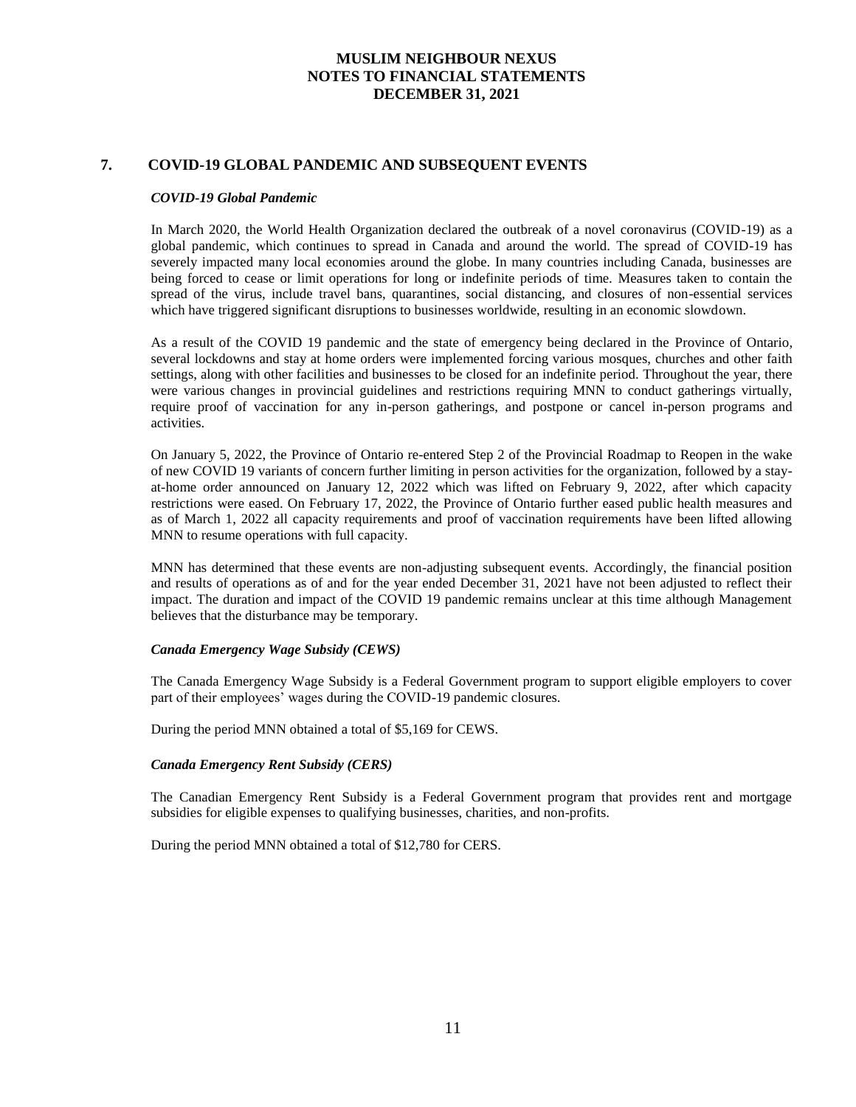#### **7. COVID-19 GLOBAL PANDEMIC AND SUBSEQUENT EVENTS**

#### *COVID-19 Global Pandemic*

In March 2020, the World Health Organization declared the outbreak of a novel coronavirus (COVID-19) as a global pandemic, which continues to spread in Canada and around the world. The spread of COVID-19 has severely impacted many local economies around the globe. In many countries including Canada, businesses are being forced to cease or limit operations for long or indefinite periods of time. Measures taken to contain the spread of the virus, include travel bans, quarantines, social distancing, and closures of non-essential services which have triggered significant disruptions to businesses worldwide, resulting in an economic slowdown.

As a result of the COVID 19 pandemic and the state of emergency being declared in the Province of Ontario, several lockdowns and stay at home orders were implemented forcing various mosques, churches and other faith settings, along with other facilities and businesses to be closed for an indefinite period. Throughout the year, there were various changes in provincial guidelines and restrictions requiring MNN to conduct gatherings virtually, require proof of vaccination for any in-person gatherings, and postpone or cancel in-person programs and activities.

On January 5, 2022, the Province of Ontario re-entered Step 2 of the Provincial Roadmap to Reopen in the wake of new COVID 19 variants of concern further limiting in person activities for the organization, followed by a stayat-home order announced on January 12, 2022 which was lifted on February 9, 2022, after which capacity restrictions were eased. On February 17, 2022, the Province of Ontario further eased public health measures and as of March 1, 2022 all capacity requirements and proof of vaccination requirements have been lifted allowing MNN to resume operations with full capacity.

MNN has determined that these events are non-adjusting subsequent events. Accordingly, the financial position and results of operations as of and for the year ended December 31, 2021 have not been adjusted to reflect their impact. The duration and impact of the COVID 19 pandemic remains unclear at this time although Management believes that the disturbance may be temporary.

#### *Canada Emergency Wage Subsidy (CEWS)*

The Canada Emergency Wage Subsidy is a Federal Government program to support eligible employers to cover part of their employees' wages during the COVID-19 pandemic closures.

During the period MNN obtained a total of \$5,169 for CEWS.

#### *Canada Emergency Rent Subsidy (CERS)*

The Canadian Emergency Rent Subsidy is a Federal Government program that provides rent and mortgage subsidies for eligible expenses to qualifying businesses, charities, and non-profits.

During the period MNN obtained a total of \$12,780 for CERS.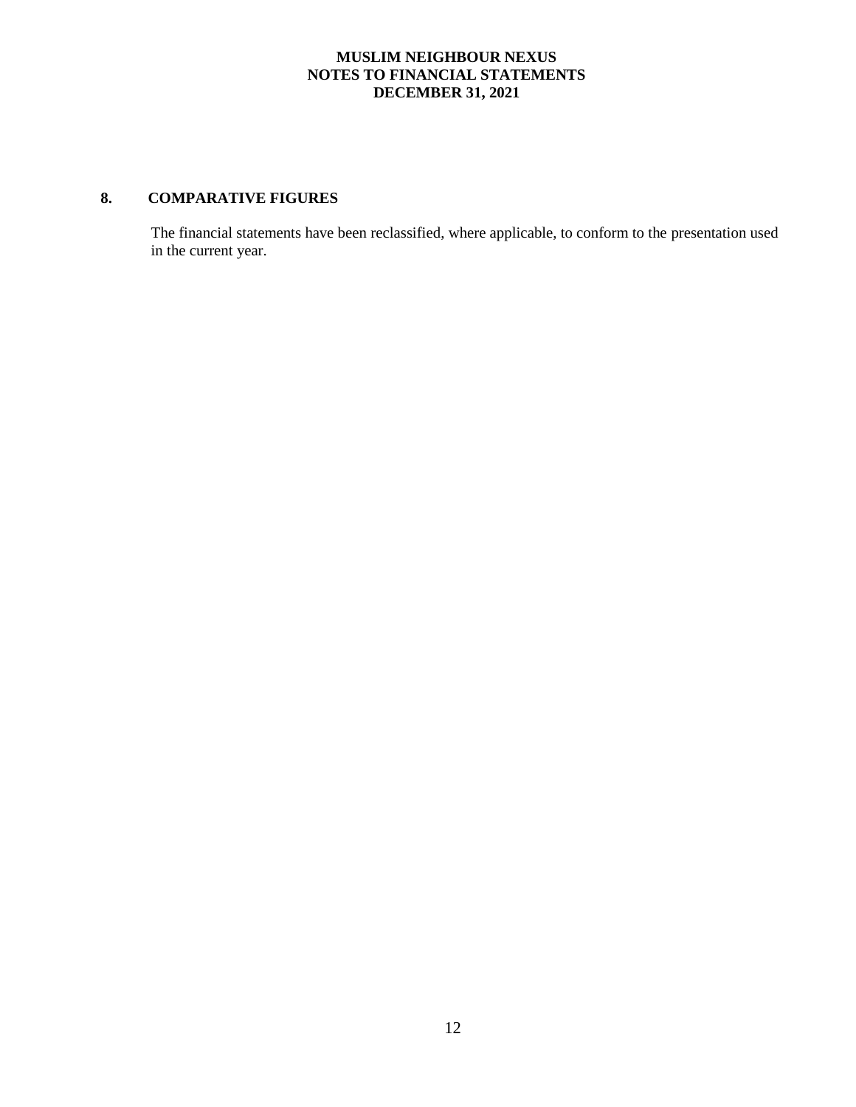# **8. COMPARATIVE FIGURES**

The financial statements have been reclassified, where applicable, to conform to the presentation used in the current year.